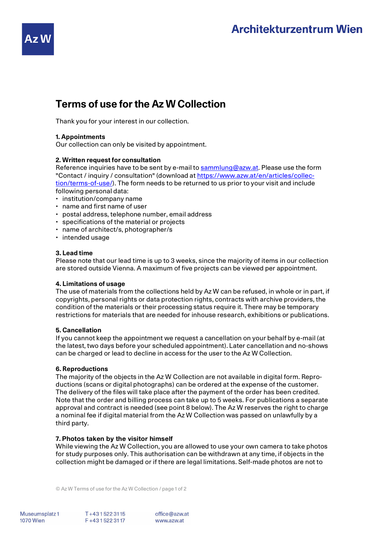# **Architekturzentrum Wien**

## **Terms of use for the Az W Collection**

Thank you for your interest in our collection.

## **1. Appointments**

Our collection can only be visited by appointment.

## **2. Written request for consultation**

Reference inquiries have to be sent by e-mail to sammlung@azw.at. Please use the form "Contact / inquiry / consultation" (download at https://www.azw.at/en/articles/collection/terms-of-use/). The form needs to be returned to us prior to your visit and include following personal data:

- institution/company name
- name and first name of user
- postal address, telephone number, email address
- specifications of the material or projects
- name of architect/s, photographer/s
- intended usage

### **3. Lead time**

Please note that our lead time is up to 3 weeks, since the majority of items in our collection are stored outside Vienna. A maximum of five projects can be viewed per appointment.

### **4. Limitations of usage**

The use of materials from the collections held by Az W can be refused, in whole or in part, if copyrights, personal rights or data protection rights, contracts with archive providers, the condition of the materials or their processing status require it. There may be temporary restrictions for materials that are needed for inhouse research, exhibitions or publications.

### **5. Cancellation**

If you cannot keep the appointment we request a cancellation on your behalf by e-mail (at the latest, two days before your scheduled appointment). Later cancellation and no-shows can be charged or lead to decline in access for the user to the Az W Collection.

#### **6. Reproductions**

The majority of the objects in the Az W Collection are not available in digital form. Reproductions (scans or digital photographs) can be ordered at the expense of the customer. The delivery of the files will take place after the payment of the order has been credited. Note that the order and billing process can take up to 5 weeks. For publications a separate approval and contract is needed (see point 8 below). The Az W reserves the right to charge a nominal fee if digital material from the Az W Collection was passed on unlawfully by a third party.

### **7.** Photos taken by the visitor himself

While viewing the Az W Collection, you are allowed to use your own camera to take photos for study purposes only. This authorisation can be withdrawn at any time, if objects in the collection might be damaged or if there are legal limitations. Self-made photos are not to

© Az W Terms of use for the Az W Collection / page 1 of 2

Museumsplatz 1 **1070 Wien**